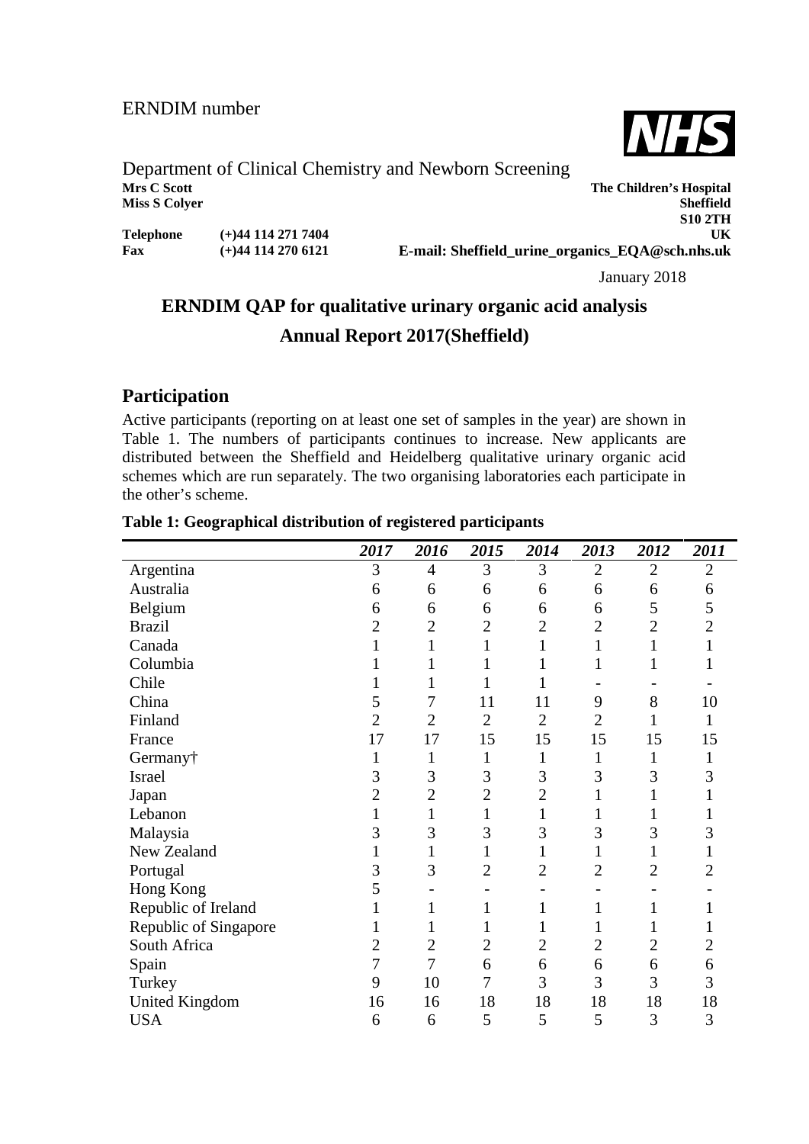

**S10 2TH**

**The Children's Hospital** 

# Department of Clinical Chemistry and Newborn Screening<br>Mrs C Scott **Miss S Colyer Sheffield**

| Telephone | $(+)$ 44 114 271 7404 |
|-----------|-----------------------|
| Fax       | $(+)$ 44 114 270 6121 |

**UK E-mail: Sheffield\_urine\_organics\_EQA@sch.nhs.uk**

January 2018

# **ERNDIM QAP for qualitative urinary organic acid analysis Annual Report 2017(Sheffield)**

## **Participation**

Active participants (reporting on at least one set of samples in the year) are shown in Table 1. The numbers of participants continues to increase. New applicants are distributed between the Sheffield and Heidelberg qualitative urinary organic acid schemes which are run separately. The two organising laboratories each participate in the other's scheme.

|                       | 2017           | 2016           | 2015           | 2014           | 2013           | 2012           | 2011           |
|-----------------------|----------------|----------------|----------------|----------------|----------------|----------------|----------------|
| Argentina             | 3              | $\overline{4}$ | 3              | 3              | $\overline{2}$ | $\overline{2}$ | $\overline{2}$ |
| Australia             | 6              | 6              | 6              | 6              | 6              | 6              | 6              |
| Belgium               | 6              | 6              | 6              | 6              | 6              | 5              | 5              |
| <b>Brazil</b>         | 2              | 2              | $\overline{2}$ | $\overline{2}$ | $\overline{2}$ | $\overline{2}$ | $\overline{2}$ |
| Canada                |                | 1              | 1              | 1              | $\mathbf{1}$   | $\mathbf{1}$   |                |
| Columbia              |                |                | 1              | $\mathbf{1}$   | $\mathbf{1}$   | $\mathbf{1}$   |                |
| Chile                 |                |                | 1              | 1              |                |                |                |
| China                 | 5              | 7              | 11             | 11             | 9              | 8              | 10             |
| Finland               | 2              | $\overline{2}$ | $\overline{2}$ | $\overline{2}$ | $\overline{2}$ | 1              | 1              |
| France                | 17             | 17             | 15             | 15             | 15             | 15             | 15             |
| Germany†              |                | 1              | $\mathbf{1}$   | 1              | 1              | 1              | 1              |
| Israel                | 3              | 3              | 3              | 3              | 3              | 3              | 3              |
| Japan                 | $\overline{2}$ | $\overline{2}$ | $\overline{2}$ | $\overline{2}$ | 1              | 1              |                |
| Lebanon               |                | 1              | 1              | 1              |                |                |                |
| Malaysia              | 3              | 3              | 3              | 3              | 3              | 3              | 3              |
| New Zealand           |                | $\mathbf 1$    | 1              | 1              |                | 1              |                |
| Portugal              | 3              | 3              | $\overline{2}$ | $\overline{2}$ | $\overline{2}$ | $\overline{c}$ | 2              |
| Hong Kong             | 5              |                |                |                |                |                |                |
| Republic of Ireland   |                |                |                | 1              | $\mathbf{1}$   | 1              |                |
| Republic of Singapore |                | 1              | 1              |                |                | 1              |                |
| South Africa          | $\overline{2}$ | $\overline{c}$ | $\overline{2}$ | $\overline{2}$ | $\overline{2}$ | $\overline{c}$ | $\overline{2}$ |
| Spain                 | 7              | $\overline{7}$ | 6              | 6              | 6              | 6              | 6              |
| Turkey                | 9              | 10             | 7              | 3              | 3              | 3              | 3              |
| <b>United Kingdom</b> | 16             | 16             | 18             | 18             | 18             | 18             | 18             |
| <b>USA</b>            | 6              | 6              | 5              | 5              | 5              | 3              | 3              |

#### **Table 1: Geographical distribution of registered participants**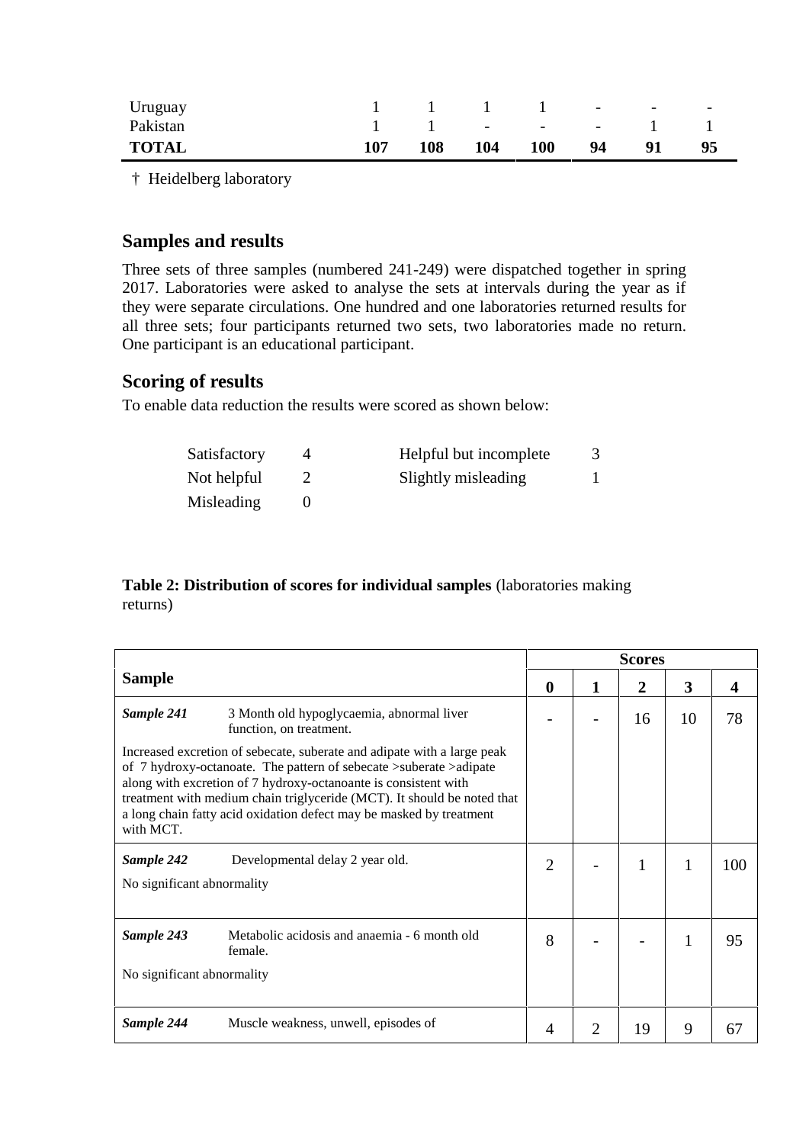| Uruguay      |     |     | $1 \quad 1 \quad 1 \quad 1$ |                | <b>Contractor</b> | <b>Contract Contract State</b> | $\overline{\phantom{0}}$ |  |
|--------------|-----|-----|-----------------------------|----------------|-------------------|--------------------------------|--------------------------|--|
| Pakistan     |     |     |                             | $1 \t 1 \t -1$ |                   |                                |                          |  |
| <b>TOTAL</b> | 107 | 108 | 104                         | <b>100</b>     | 94                | 91                             | 95                       |  |

† Heidelberg laboratory

### **Samples and results**

Three sets of three samples (numbered 241-249) were dispatched together in spring 2017. Laboratories were asked to analyse the sets at intervals during the year as if they were separate circulations. One hundred and one laboratories returned results for all three sets; four participants returned two sets, two laboratories made no return. One participant is an educational participant.

# **Scoring of results**

To enable data reduction the results were scored as shown below:

| Satisfactory | Helpful but incomplete |  |
|--------------|------------------------|--|
| Not helpful  | Slightly misleading    |  |
| Misleading   |                        |  |

#### **Table 2: Distribution of scores for individual samples** (laboratories making returns)

|                                                                                                                                                                                                                                                                                                                                                                                 |                |   | <b>Scores</b> |    |     |
|---------------------------------------------------------------------------------------------------------------------------------------------------------------------------------------------------------------------------------------------------------------------------------------------------------------------------------------------------------------------------------|----------------|---|---------------|----|-----|
| <b>Sample</b>                                                                                                                                                                                                                                                                                                                                                                   | $\bf{0}$       | 1 | 2             | 3  | 4   |
| Sample 241<br>3 Month old hypoglycaemia, abnormal liver<br>function, on treatment.                                                                                                                                                                                                                                                                                              |                |   | 16            | 10 | 78  |
| Increased excretion of sebecate, suberate and adipate with a large peak<br>of 7 hydroxy-octanoate. The pattern of sebecate >suberate >adipate<br>along with excretion of 7 hydroxy-octanoante is consistent with<br>treatment with medium chain triglyceride (MCT). It should be noted that<br>a long chain fatty acid oxidation defect may be masked by treatment<br>with MCT. |                |   |               |    |     |
| Sample 242<br>Developmental delay 2 year old.<br>No significant abnormality                                                                                                                                                                                                                                                                                                     | $\overline{2}$ |   |               |    | 100 |
| Sample 243<br>Metabolic acidosis and anaemia - 6 month old<br>female.                                                                                                                                                                                                                                                                                                           | 8              |   |               |    | 95  |
| No significant abnormality                                                                                                                                                                                                                                                                                                                                                      |                |   |               |    |     |
| Sample 244<br>Muscle weakness, unwell, episodes of                                                                                                                                                                                                                                                                                                                              |                | 2 | 19            | 9  | 67  |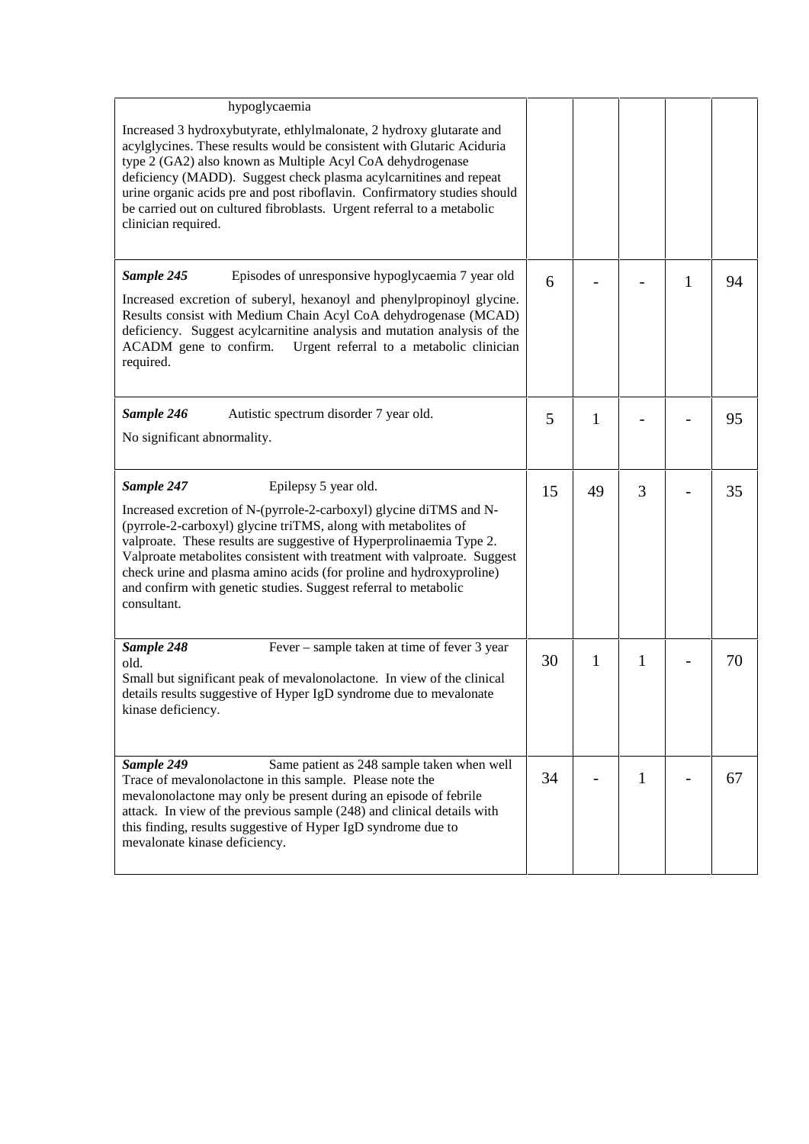| hypoglycaemia                                                                                                                                                                                                                                                                                                                                                                                                                                                                         |    |              |              |   |    |
|---------------------------------------------------------------------------------------------------------------------------------------------------------------------------------------------------------------------------------------------------------------------------------------------------------------------------------------------------------------------------------------------------------------------------------------------------------------------------------------|----|--------------|--------------|---|----|
| Increased 3 hydroxybutyrate, ethlylmalonate, 2 hydroxy glutarate and<br>acylglycines. These results would be consistent with Glutaric Aciduria<br>type 2 (GA2) also known as Multiple Acyl CoA dehydrogenase<br>deficiency (MADD). Suggest check plasma acylcarnitines and repeat<br>urine organic acids pre and post riboflavin. Confirmatory studies should<br>be carried out on cultured fibroblasts. Urgent referral to a metabolic<br>clinician required.                        |    |              |              |   |    |
| Sample 245<br>Episodes of unresponsive hypoglycaemia 7 year old<br>Increased excretion of suberyl, hexanoyl and phenylpropinoyl glycine.<br>Results consist with Medium Chain Acyl CoA dehydrogenase (MCAD)<br>deficiency. Suggest acylcarnitine analysis and mutation analysis of the<br>Urgent referral to a metabolic clinician<br>ACADM gene to confirm.<br>required.                                                                                                             | 6  |              |              | 1 | 94 |
| Sample 246<br>Autistic spectrum disorder 7 year old.<br>No significant abnormality.                                                                                                                                                                                                                                                                                                                                                                                                   | 5  | 1            |              |   | 95 |
| Sample 247<br>Epilepsy 5 year old.<br>Increased excretion of N-(pyrrole-2-carboxyl) glycine diTMS and N-<br>(pyrrole-2-carboxyl) glycine triTMS, along with metabolites of<br>valproate. These results are suggestive of Hyperprolinaemia Type 2.<br>Valproate metabolites consistent with treatment with valproate. Suggest<br>check urine and plasma amino acids (for proline and hydroxyproline)<br>and confirm with genetic studies. Suggest referral to metabolic<br>consultant. | 15 | 49           | 3            |   | 35 |
| Sample 248<br>Fever – sample taken at time of fever 3 year<br>old.<br>Small but significant peak of mevalonolactone. In view of the clinical<br>details results suggestive of Hyper IgD syndrome due to mevalonate<br>kinase deficiency.                                                                                                                                                                                                                                              | 30 | $\mathbf{1}$ | $\mathbf{1}$ |   | 70 |
| Sample 249<br>Same patient as 248 sample taken when well<br>Trace of mevalonolactone in this sample. Please note the<br>mevalonolactone may only be present during an episode of febrile<br>attack. In view of the previous sample (248) and clinical details with<br>this finding, results suggestive of Hyper IgD syndrome due to<br>mevalonate kinase deficiency.                                                                                                                  | 34 |              | 1            |   | 67 |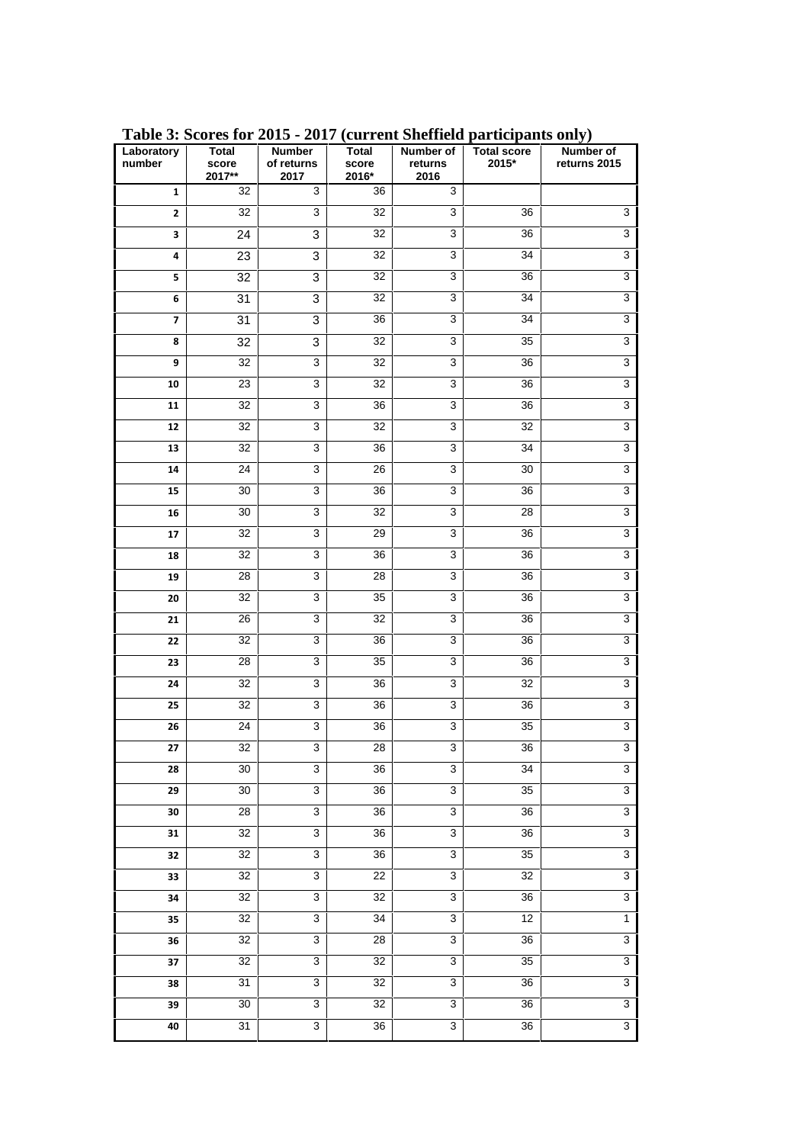| Laboratory<br>number    | <b>Total</b><br>score<br>2017** | <b>Number</b><br>of returns<br>2017 | <b>Total</b><br>score<br>$2016*$ | Number of<br>returns<br>2016 | <b>Total score</b><br>2015* | Number of<br>returns 2015 |
|-------------------------|---------------------------------|-------------------------------------|----------------------------------|------------------------------|-----------------------------|---------------------------|
| $\mathbf{1}$            | 32                              | $\mathsf 3$                         | 36                               | 3                            |                             |                           |
| $\mathbf{2}$            | 32                              | $\mathbf{3}$                        | 32                               | 3                            | 36                          | $\overline{3}$            |
| 3                       | 24                              | $\ensuremath{\mathsf{3}}$           | 32                               | 3                            | 36                          | 3                         |
| 4                       | 23                              | 3                                   | 32                               | 3                            | 34                          | 3                         |
| 5                       | 32                              | 3                                   | 32                               | 3                            | 36                          | $\overline{3}$            |
| 6                       | 31                              | 3                                   | 32                               | 3                            | 34                          | $\overline{3}$            |
| $\overline{\mathbf{z}}$ | 31                              | 3                                   | 36                               | 3                            | 34                          | $\overline{3}$            |
| 8                       | 32                              | 3                                   | 32                               | 3                            | 35                          | 3                         |
| 9                       | 32                              | 3                                   | 32                               | 3                            | 36                          | $\overline{3}$            |
| 10                      | 23                              | $\mathsf 3$                         | 32                               | $\mathbf{3}$                 | 36                          | 3                         |
| 11                      | 32                              | $\overline{3}$                      | 36                               | $\overline{3}$               | 36                          | 3                         |
| 12                      | 32                              | 3                                   | 32                               | 3                            | 32                          | 3                         |
| 13                      | $\overline{32}$                 | 3                                   | 36                               | 3                            | 34                          | 3                         |
| 14                      | 24                              | $\overline{3}$                      | 26                               | $\mathbf{3}$                 | 30                          | $\overline{3}$            |
| 15                      | 30                              | $\mathbf{3}$                        | 36                               | 3                            | 36                          | $\overline{3}$            |
| 16                      | 30                              | 3                                   | 32                               | 3                            | 28                          | 3                         |
| 17                      | 32                              | 3                                   | 29                               | $\mathbf{3}$                 | 36                          | $\overline{3}$            |
| 18                      | 32                              | $\overline{3}$                      | 36                               | 3                            | 36                          | $\overline{3}$            |
| 19                      | 28                              | 3                                   | 28                               | $\mathbf{3}$                 | 36                          | 3                         |
| 20                      | 32                              | 3                                   | 35                               | $\mathbf{3}$                 | 36                          | 3                         |
| 21                      | 26                              | 3                                   | 32                               | 3                            | 36                          | 3                         |
| 22                      | 32                              | $\mathbf{3}$                        | 36                               | 3                            | 36                          | $\overline{3}$            |
| 23                      | 28                              | $\mathbf{3}$                        | 35                               | 3                            | 36                          | $\overline{3}$            |
| 24                      | 32                              | 3                                   | 36                               | 3                            | 32                          | 3                         |
| 25                      | 32                              | 3                                   | 36                               | 3                            | 36                          | 3                         |
| 26                      | 24                              | 3                                   | 36                               | 3                            | 35                          | 3                         |
| 27                      | 32                              | 3                                   | 28                               | 3                            | 36                          | $\overline{3}$            |
| 28                      | 30                              | 3                                   | 36                               | $\mathbf{3}$                 | 34                          | $\overline{3}$            |
| 29                      | 30                              | $\overline{3}$                      | 36                               | 3                            | $\overline{35}$             | $\overline{3}$            |
| 30                      | $\overline{28}$                 | $\overline{3}$                      | 36                               | $\overline{3}$               | $\overline{36}$             | 3                         |
| 31                      | 32                              | $\overline{3}$                      | 36                               | 3                            | 36                          | $\overline{3}$            |
| 32                      | 32                              | 3                                   | 36                               | 3                            | 35                          | 3                         |
| 33                      | 32                              | $\overline{3}$                      | 22                               | 3                            | 32                          | $\overline{3}$            |
| 34                      | 32                              | $\overline{3}$                      | 32                               | 3                            | $\overline{36}$             | 3                         |
| 35                      | 32                              | $\overline{3}$                      | 34                               | $\overline{3}$               | 12                          | $\mathbf{1}$              |
| 36                      | 32                              | $\ensuremath{\mathsf{3}}$           | 28                               | 3                            | 36                          | $\ensuremath{\mathsf{3}}$ |
| 37                      | 32                              | $\overline{3}$                      | 32                               | 3                            | $\overline{35}$             | $\overline{3}$            |
| 38                      | 31                              | $\overline{3}$                      | 32                               | 3                            | 36                          | 3                         |
| 39                      | 30                              | $\overline{3}$                      | 32                               | 3                            | 36                          | $\overline{3}$            |
| 40                      | 31                              | 3                                   | 36                               | $\mathbf{3}$                 | 36                          | 3                         |

**Table 3: Scores for 2015 - 2017 (current Sheffield participants only)**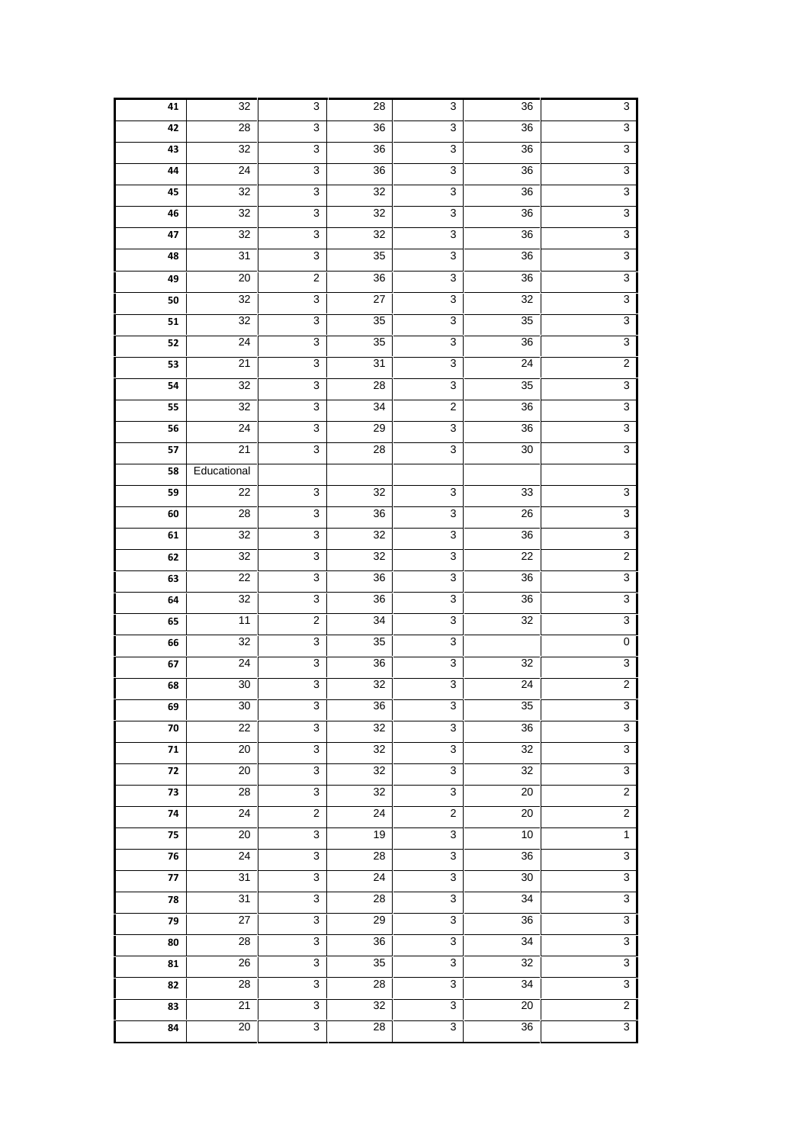| 41               | 32              | 3                                | 28              | 3                                | 36                                 | 3                                |  |
|------------------|-----------------|----------------------------------|-----------------|----------------------------------|------------------------------------|----------------------------------|--|
| 42               | $\overline{28}$ | $\overline{3}$                   | $\overline{36}$ | $\overline{3}$                   | 36                                 | $\overline{3}$                   |  |
| 43               | 32              | $\overline{3}$                   | $36\,$          | $\overline{3}$                   | 36                                 | 3                                |  |
| 44               | 24              | $\overline{3}$                   | 36              | $\overline{3}$                   | 36                                 | 3                                |  |
| 45               | 32              | 3                                | 32              | 3                                | 36                                 | 3                                |  |
| 46               | $\overline{32}$ | $\overline{3}$                   | $\overline{32}$ | $\overline{3}$                   | $\overline{36}$                    | $\overline{3}$                   |  |
| 47               | 32              | $\overline{3}$                   | 32              | $\overline{3}$                   | 36                                 | 3                                |  |
| 48               | $\overline{31}$ | $\overline{3}$                   | 35              | $\overline{3}$                   | 36                                 | $\overline{3}$                   |  |
| 49               | 20              | $\overline{2}$                   | 36              | 3                                | 36                                 | 3                                |  |
| 50               | 32              | $\overline{3}$                   | 27              | $\overline{3}$                   | 32                                 | 3                                |  |
| 51               | 32              | $\overline{3}$                   | 35              | $\overline{3}$                   | 35                                 | $\overline{3}$                   |  |
| 52               | 24              | 3                                | 35              | 3                                | 36                                 | 3                                |  |
| 53               | 21              | $\overline{3}$                   | $\overline{31}$ | $\overline{3}$                   | 24                                 | $\overline{2}$                   |  |
| 54               | $\overline{32}$ | $\overline{3}$                   | 28              | $\overline{3}$                   | 35                                 | 3                                |  |
| 55               | 32              | $\overline{3}$                   | 34              | $\overline{2}$                   | 36                                 | 3                                |  |
| 56               | 24              | $\overline{3}$                   | 29              | 3                                | 36                                 | 3                                |  |
| 57               | $\overline{21}$ | $\overline{3}$                   | 28              | $\overline{3}$                   | 30                                 | $\overline{3}$                   |  |
| 58               | Educational     |                                  |                 |                                  |                                    |                                  |  |
| 59               | 22              | $\overline{3}$                   | 32              | $\overline{3}$                   | 33                                 | $\overline{3}$                   |  |
| 60               | 28              | 3                                | 36              | 3                                | 26                                 | 3                                |  |
| 61               | 32              | $\overline{3}$                   | $\overline{32}$ | $\overline{3}$                   | $\overline{36}$                    | $\overline{3}$                   |  |
| 62               | 32              | $\overline{3}$                   | $\overline{32}$ | 3                                | 22                                 | $\overline{2}$                   |  |
| 63               | 22              | $\overline{3}$                   | 36              | $\overline{3}$                   | 36                                 | 3                                |  |
| 64               | 32              | 3                                | 36              | 3                                | 36                                 | 3                                |  |
| 65               | 11              | $\overline{2}$                   | $\overline{34}$ | $\overline{3}$                   | $\overline{32}$                    | $\overline{3}$                   |  |
| 66               | 32              | $\overline{3}$                   | 35              | $\overline{3}$                   |                                    | $\pmb{0}$                        |  |
| 67               | $\overline{24}$ | $\overline{3}$                   | 36              | $\overline{3}$                   | 32                                 | 3                                |  |
| 68               | $30\,$          | 3                                | 32              | 3                                | 24                                 | $\boldsymbol{2}$                 |  |
| 69               | 30              | $\overline{3}$                   | 36              | 3                                | 35                                 | 3                                |  |
| ${\bf 70}$       | $\overline{22}$ | $\overline{3}$                   | $\overline{32}$ | $\overline{3}$                   | $\overline{36}$                    | $\overline{3}$                   |  |
| 71               | $\overline{20}$ | $\overline{3}$                   | $\overline{32}$ | $\overline{3}$                   | $\overline{32}$                    | 3                                |  |
| 72               | 20              | $\overline{3}$                   | 32              | $\overline{3}$                   | $\overline{32}$                    | 3                                |  |
| 73               | 28<br>24        | $\overline{3}$<br>$\overline{2}$ | 32<br>24        | $\overline{3}$<br>$\overline{2}$ | $\overline{20}$<br>$\overline{20}$ | $\overline{2}$<br>$\overline{2}$ |  |
| 74               | $\overline{20}$ | $\overline{3}$                   | 19              | $\overline{3}$                   | 10                                 | $\overline{1}$                   |  |
| 75<br>${\bf 76}$ | $\overline{24}$ | $\overline{3}$                   | $\overline{28}$ | 3                                | $\overline{36}$                    | 3                                |  |
| $77\,$           | $\overline{31}$ | $\overline{3}$                   | $\overline{24}$ | $\overline{3}$                   | 30                                 | $\overline{3}$                   |  |
| ${\bf 78}$       | 31              | $\overline{3}$                   | $\overline{28}$ | $\overline{3}$                   | $\overline{34}$                    | $\overline{3}$                   |  |
| 79               | $\overline{27}$ | $\overline{3}$                   | 29              | $\overline{3}$                   | 36                                 | 3                                |  |
| 80               | 28              | $\overline{3}$                   | 36              | $\overline{3}$                   | 34                                 | 3                                |  |
| 81               | $\overline{26}$ | $\overline{3}$                   | $\overline{35}$ | $\overline{3}$                   | $\overline{32}$                    | $\overline{3}$                   |  |
| 82               | $\overline{28}$ | $\overline{3}$                   | $\overline{28}$ | $\overline{3}$                   | $\overline{34}$                    | $\overline{3}$                   |  |
| 83               | 21              | $\overline{3}$                   | 32              | $\overline{3}$                   | $\overline{20}$                    | $\overline{2}$                   |  |
| 84               | 20              | $\overline{3}$                   | 28              | $\overline{3}$                   | 36                                 | $\overline{3}$                   |  |
|                  |                 |                                  |                 |                                  |                                    |                                  |  |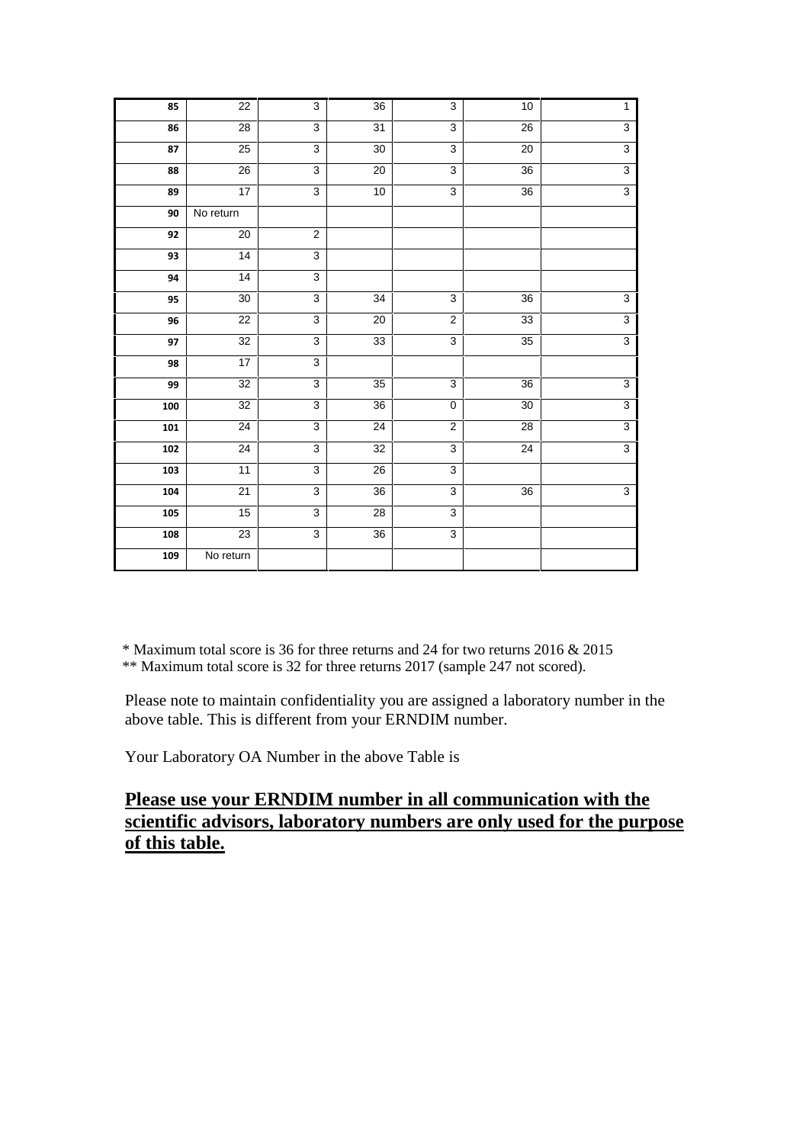| 22<br>$\overline{3}$<br>36<br>$\overline{3}$<br>10<br>85<br>$\overline{3}$<br>$\overline{3}$<br>$\overline{28}$<br>31<br>$\overline{26}$<br>86<br>25<br>$\overline{3}$<br>$\overline{3}$<br>20<br>$\overline{87}$<br>$\overline{30}$<br>26<br>$\overline{3}$<br>88<br>20<br>$\overline{3}$<br>36<br>17<br>$\overline{3}$<br>10<br>$\overline{36}$<br>$\overline{3}$<br>89<br>90<br>$\overline{No}$ return<br>20<br>$\overline{2}$<br>92<br>$\overline{3}$<br>$\overline{14}$<br>93<br>$\overline{3}$<br>$\overline{14}$<br>94<br>$\overline{3}$<br>95<br>30<br>$\mathbf{3}$<br>$\overline{34}$<br>$\overline{36}$<br>$\overline{3}$<br>$\overline{22}$<br>20<br>$\overline{2}$<br>33<br>96<br>32<br>$\overline{3}$<br>33<br>$\overline{3}$<br>35<br>97<br>17<br>$\overline{3}$<br>98<br>32<br>$\overline{3}$<br>$\overline{35}$<br>$\mathbf{3}$<br>$\overline{36}$<br>99<br>32<br>$\overline{3}$<br>36<br>30<br>$\mathbf 0$<br>100<br>$\overline{3}$<br>$\overline{2}$<br>$\overline{24}$<br>$\overline{24}$<br>$\overline{28}$<br>101<br>24<br>32<br>$\overline{3}$<br>$\overline{3}$<br>24<br>102<br>11<br>$\overline{3}$<br>$\overline{26}$<br>$\overline{3}$<br>103<br>$\overline{3}$<br>$\overline{21}$<br>$\overline{36}$<br>$\mathbf{3}$<br>36<br>104<br>15<br>$\overline{3}$<br>$\overline{3}$<br>$\overline{28}$<br>105 |     |                 |   |    |                |                |
|----------------------------------------------------------------------------------------------------------------------------------------------------------------------------------------------------------------------------------------------------------------------------------------------------------------------------------------------------------------------------------------------------------------------------------------------------------------------------------------------------------------------------------------------------------------------------------------------------------------------------------------------------------------------------------------------------------------------------------------------------------------------------------------------------------------------------------------------------------------------------------------------------------------------------------------------------------------------------------------------------------------------------------------------------------------------------------------------------------------------------------------------------------------------------------------------------------------------------------------------------------------------------------------------------------------------------------|-----|-----------------|---|----|----------------|----------------|
|                                                                                                                                                                                                                                                                                                                                                                                                                                                                                                                                                                                                                                                                                                                                                                                                                                                                                                                                                                                                                                                                                                                                                                                                                                                                                                                                  |     |                 |   |    |                | $\mathbf{1}$   |
|                                                                                                                                                                                                                                                                                                                                                                                                                                                                                                                                                                                                                                                                                                                                                                                                                                                                                                                                                                                                                                                                                                                                                                                                                                                                                                                                  |     |                 |   |    |                | $\overline{3}$ |
|                                                                                                                                                                                                                                                                                                                                                                                                                                                                                                                                                                                                                                                                                                                                                                                                                                                                                                                                                                                                                                                                                                                                                                                                                                                                                                                                  |     |                 |   |    |                | $\overline{3}$ |
|                                                                                                                                                                                                                                                                                                                                                                                                                                                                                                                                                                                                                                                                                                                                                                                                                                                                                                                                                                                                                                                                                                                                                                                                                                                                                                                                  |     |                 |   |    |                | $\overline{3}$ |
|                                                                                                                                                                                                                                                                                                                                                                                                                                                                                                                                                                                                                                                                                                                                                                                                                                                                                                                                                                                                                                                                                                                                                                                                                                                                                                                                  |     |                 |   |    |                | $\overline{3}$ |
|                                                                                                                                                                                                                                                                                                                                                                                                                                                                                                                                                                                                                                                                                                                                                                                                                                                                                                                                                                                                                                                                                                                                                                                                                                                                                                                                  |     |                 |   |    |                |                |
|                                                                                                                                                                                                                                                                                                                                                                                                                                                                                                                                                                                                                                                                                                                                                                                                                                                                                                                                                                                                                                                                                                                                                                                                                                                                                                                                  |     |                 |   |    |                |                |
|                                                                                                                                                                                                                                                                                                                                                                                                                                                                                                                                                                                                                                                                                                                                                                                                                                                                                                                                                                                                                                                                                                                                                                                                                                                                                                                                  |     |                 |   |    |                |                |
|                                                                                                                                                                                                                                                                                                                                                                                                                                                                                                                                                                                                                                                                                                                                                                                                                                                                                                                                                                                                                                                                                                                                                                                                                                                                                                                                  |     |                 |   |    |                |                |
|                                                                                                                                                                                                                                                                                                                                                                                                                                                                                                                                                                                                                                                                                                                                                                                                                                                                                                                                                                                                                                                                                                                                                                                                                                                                                                                                  |     |                 |   |    |                | $\overline{3}$ |
|                                                                                                                                                                                                                                                                                                                                                                                                                                                                                                                                                                                                                                                                                                                                                                                                                                                                                                                                                                                                                                                                                                                                                                                                                                                                                                                                  |     |                 |   |    |                | $\overline{3}$ |
|                                                                                                                                                                                                                                                                                                                                                                                                                                                                                                                                                                                                                                                                                                                                                                                                                                                                                                                                                                                                                                                                                                                                                                                                                                                                                                                                  |     |                 |   |    |                | $\overline{3}$ |
|                                                                                                                                                                                                                                                                                                                                                                                                                                                                                                                                                                                                                                                                                                                                                                                                                                                                                                                                                                                                                                                                                                                                                                                                                                                                                                                                  |     |                 |   |    |                |                |
|                                                                                                                                                                                                                                                                                                                                                                                                                                                                                                                                                                                                                                                                                                                                                                                                                                                                                                                                                                                                                                                                                                                                                                                                                                                                                                                                  |     |                 |   |    |                | $\overline{3}$ |
|                                                                                                                                                                                                                                                                                                                                                                                                                                                                                                                                                                                                                                                                                                                                                                                                                                                                                                                                                                                                                                                                                                                                                                                                                                                                                                                                  |     |                 |   |    |                | $\overline{3}$ |
|                                                                                                                                                                                                                                                                                                                                                                                                                                                                                                                                                                                                                                                                                                                                                                                                                                                                                                                                                                                                                                                                                                                                                                                                                                                                                                                                  |     |                 |   |    |                | $\overline{3}$ |
|                                                                                                                                                                                                                                                                                                                                                                                                                                                                                                                                                                                                                                                                                                                                                                                                                                                                                                                                                                                                                                                                                                                                                                                                                                                                                                                                  |     |                 |   |    |                | $\overline{3}$ |
|                                                                                                                                                                                                                                                                                                                                                                                                                                                                                                                                                                                                                                                                                                                                                                                                                                                                                                                                                                                                                                                                                                                                                                                                                                                                                                                                  |     |                 |   |    |                |                |
|                                                                                                                                                                                                                                                                                                                                                                                                                                                                                                                                                                                                                                                                                                                                                                                                                                                                                                                                                                                                                                                                                                                                                                                                                                                                                                                                  |     |                 |   |    |                | $\overline{3}$ |
|                                                                                                                                                                                                                                                                                                                                                                                                                                                                                                                                                                                                                                                                                                                                                                                                                                                                                                                                                                                                                                                                                                                                                                                                                                                                                                                                  |     |                 |   |    |                |                |
|                                                                                                                                                                                                                                                                                                                                                                                                                                                                                                                                                                                                                                                                                                                                                                                                                                                                                                                                                                                                                                                                                                                                                                                                                                                                                                                                  | 108 | $\overline{23}$ | 3 | 36 | $\overline{3}$ |                |
| No return<br>109                                                                                                                                                                                                                                                                                                                                                                                                                                                                                                                                                                                                                                                                                                                                                                                                                                                                                                                                                                                                                                                                                                                                                                                                                                                                                                                 |     |                 |   |    |                |                |

\* Maximum total score is 36 for three returns and 24 for two returns 2016 & 2015 \*\* Maximum total score is 32 for three returns 2017 (sample 247 not scored).

Please note to maintain confidentiality you are assigned a laboratory number in the above table. This is different from your ERNDIM number.

Your Laboratory OA Number in the above Table is

# **Please use your ERNDIM number in all communication with the scientific advisors, laboratory numbers are only used for the purpose of this table.**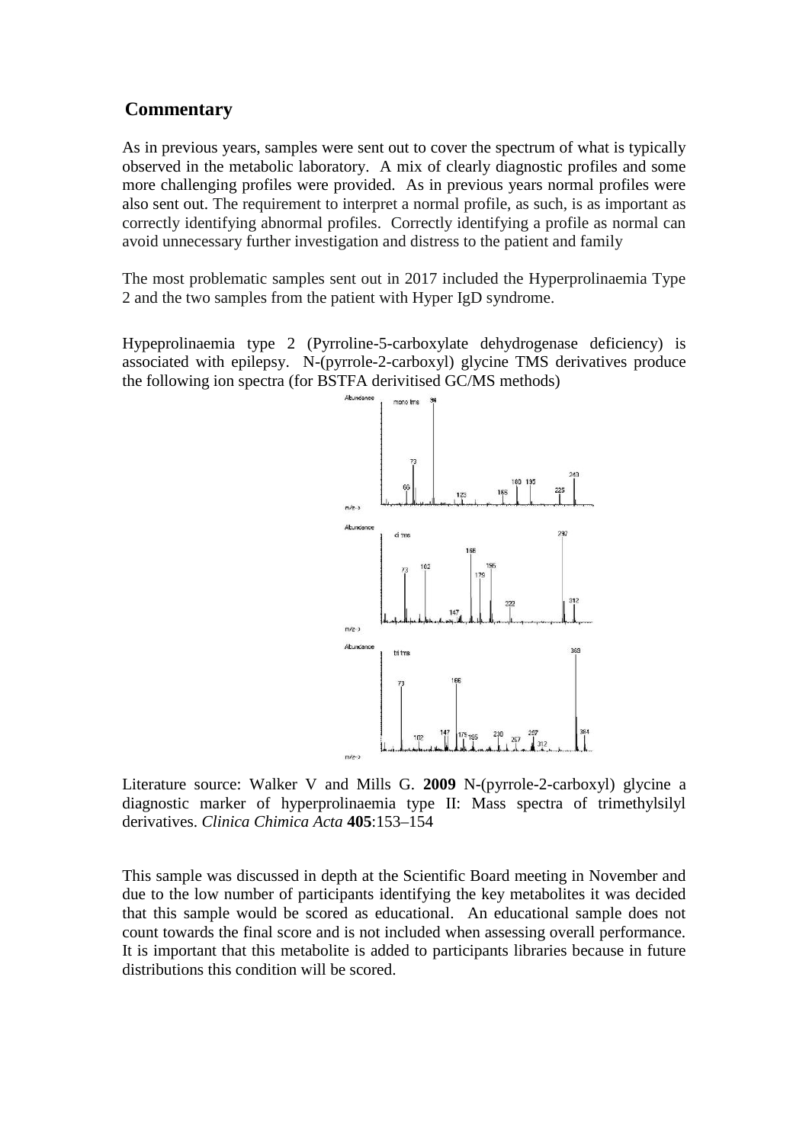### **Commentary**

As in previous years, samples were sent out to cover the spectrum of what is typically observed in the metabolic laboratory. A mix of clearly diagnostic profiles and some more challenging profiles were provided. As in previous years normal profiles were also sent out. The requirement to interpret a normal profile, as such, is as important as correctly identifying abnormal profiles. Correctly identifying a profile as normal can avoid unnecessary further investigation and distress to the patient and family

The most problematic samples sent out in 2017 included the Hyperprolinaemia Type 2 and the two samples from the patient with Hyper IgD syndrome.

Hypeprolinaemia type 2 (Pyrroline-5-carboxylate dehydrogenase deficiency) is associated with epilepsy. N-(pyrrole-2-carboxyl) glycine TMS derivatives produce the following ion spectra (for BSTFA derivitised GC/MS methods)



Literature source: Walker V and Mills G. **2009** N-(pyrrole-2-carboxyl) glycine a diagnostic marker of hyperprolinaemia type II: Mass spectra of trimethylsilyl derivatives. *Clinica Chimica Acta* **405**:153–154

This sample was discussed in depth at the Scientific Board meeting in November and due to the low number of participants identifying the key metabolites it was decided that this sample would be scored as educational. An educational sample does not count towards the final score and is not included when assessing overall performance. It is important that this metabolite is added to participants libraries because in future distributions this condition will be scored.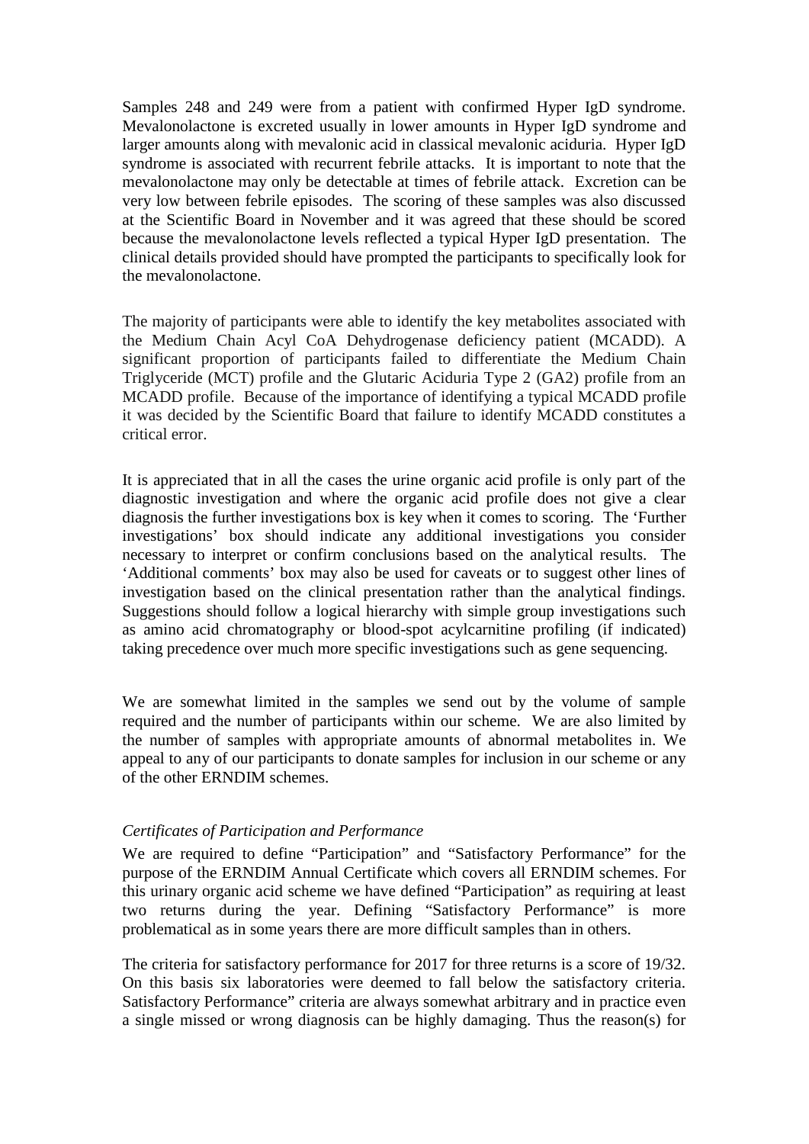Samples 248 and 249 were from a patient with confirmed Hyper IgD syndrome. Mevalonolactone is excreted usually in lower amounts in Hyper IgD syndrome and larger amounts along with mevalonic acid in classical mevalonic aciduria. Hyper IgD syndrome is associated with recurrent febrile attacks. It is important to note that the mevalonolactone may only be detectable at times of febrile attack. Excretion can be very low between febrile episodes. The scoring of these samples was also discussed at the Scientific Board in November and it was agreed that these should be scored because the mevalonolactone levels reflected a typical Hyper IgD presentation. The clinical details provided should have prompted the participants to specifically look for the mevalonolactone.

The majority of participants were able to identify the key metabolites associated with the Medium Chain Acyl CoA Dehydrogenase deficiency patient (MCADD). A significant proportion of participants failed to differentiate the Medium Chain Triglyceride (MCT) profile and the Glutaric Aciduria Type 2 (GA2) profile from an MCADD profile. Because of the importance of identifying a typical MCADD profile it was decided by the Scientific Board that failure to identify MCADD constitutes a critical error.

It is appreciated that in all the cases the urine organic acid profile is only part of the diagnostic investigation and where the organic acid profile does not give a clear diagnosis the further investigations box is key when it comes to scoring. The 'Further investigations' box should indicate any additional investigations you consider necessary to interpret or confirm conclusions based on the analytical results. The 'Additional comments' box may also be used for caveats or to suggest other lines of investigation based on the clinical presentation rather than the analytical findings. Suggestions should follow a logical hierarchy with simple group investigations such as amino acid chromatography or blood-spot acylcarnitine profiling (if indicated) taking precedence over much more specific investigations such as gene sequencing.

We are somewhat limited in the samples we send out by the volume of sample required and the number of participants within our scheme. We are also limited by the number of samples with appropriate amounts of abnormal metabolites in. We appeal to any of our participants to donate samples for inclusion in our scheme or any of the other ERNDIM schemes.

#### *Certificates of Participation and Performance*

We are required to define "Participation" and "Satisfactory Performance" for the purpose of the ERNDIM Annual Certificate which covers all ERNDIM schemes. For this urinary organic acid scheme we have defined "Participation" as requiring at least two returns during the year. Defining "Satisfactory Performance" is more problematical as in some years there are more difficult samples than in others.

The criteria for satisfactory performance for 2017 for three returns is a score of 19/32. On this basis six laboratories were deemed to fall below the satisfactory criteria. Satisfactory Performance" criteria are always somewhat arbitrary and in practice even a single missed or wrong diagnosis can be highly damaging. Thus the reason(s) for